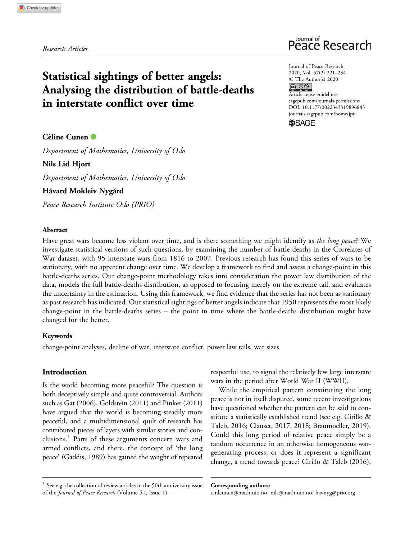Research Articles

# Peace Research

Journal of Peace Research 2020, Vol. 57(2) 221–234 © The Author(s) 2020  $\circ$  0  $\circ$ Article reuse guidelines: [sagepub.com/journals-permissions](https://sagepub.com/journals-permissions) [DOI: 10.1177/0022343319896843](https://doi.org/10.1177/0022343319896843) [journals.sagepub.com/home/jpr](http://journals.sagepub.com/home/jpr)



# Céline Cunen ®

Department of Mathematics, University of Oslo

in interstate conflict over time

Statistical sightings of better angels:

Analysing the distribution of battle-deaths

# Nils Lid Hjort

Department of Mathematics, University of Oslo

Håvard Mokleiv Nygård

Peace Research Institute Oslo (PRIO)

## Abstract

Have great wars become less violent over time, and is there something we might identify as the long peace? We investigate statistical versions of such questions, by examining the number of battle-deaths in the Correlates of War dataset, with 95 interstate wars from 1816 to 2007. Previous research has found this series of wars to be stationary, with no apparent change over time. We develop a framework to find and assess a change-point in this battle-deaths series. Our change-point methodology takes into consideration the power law distribution of the data, models the full battle-deaths distribution, as opposed to focusing merely on the extreme tail, and evaluates the uncertainty in the estimation. Using this framework, we find evidence that the series has not been as stationary as past research has indicated. Our statistical sightings of better angels indicate that 1950 represents the most likely change-point in the battle-deaths series – the point in time where the battle-deaths distribution might have changed for the better.

# Keywords

change-point analyses, decline of war, interstate conflict, power law tails, war sizes

# Introduction

Is the world becoming more peaceful? The question is both deceptively simple and quite controversial. Authors such as Gat (2006), Goldstein (2011) and Pinker (2011) have argued that the world is becoming steadily more peaceful, and a multidimensional quilt of research has contributed pieces of layers with similar stories and conclusions.<sup>1</sup> Parts of these arguments concern wars and armed conflicts, and there, the concept of 'the long peace' (Gaddis, 1989) has gained the weight of repeated

 $1$  See e.g. the collection of review articles in the 50th anniversary issue of the Journal of Peace Research (Volume 51, Issue 1).

respectful use, to signal the relatively few large interstate wars in the period after World War II (WWII).

While the empirical pattern constituting the long peace is not in itself disputed, some recent investigations have questioned whether the pattern can be said to constitute a statistically established trend (see e.g. Cirillo & Taleb, 2016; Clauset, 2017, 2018; Braumoeller, 2019). Could this long period of relative peace simply be a random occurrence in an otherwise homogeneous wargenerating process, or does it represent a significant change, a trend towards peace? Cirillo & Taleb (2016),

Corresponding authors:

[cmlcunen@math.uio.no,](mailto:cmlcunen@math.uio.no) [nils@math.uio.no,](mailto:nils@math.uio.no) [havnyg@prio.org](mailto:havnyg@prio.org)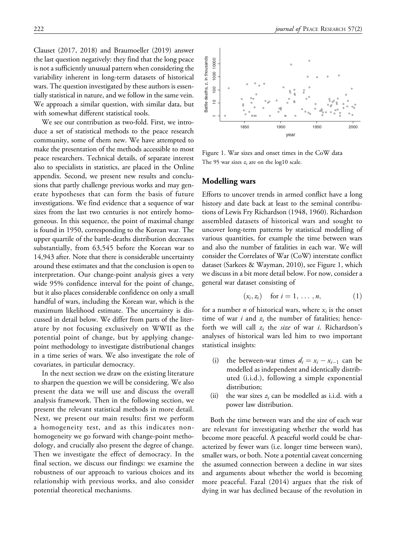Clauset (2017, 2018) and Braumoeller (2019) answer the last question negatively: they find that the long peace is not a sufficiently unusual pattern when considering the variability inherent in long-term datasets of historical wars. The question investigated by these authors is essentially statistical in nature, and we follow in the same vein. We approach a similar question, with similar data, but with somewhat different statistical tools.

We see our contribution as two-fold. First, we introduce a set of statistical methods to the peace research community, some of them new. We have attempted to make the presentation of the methods accessible to most peace researchers. Technical details, of separate interest also to specialists in statistics, are placed in the Online appendix. Second, we present new results and conclusions that partly challenge previous works and may generate hypotheses that can form the basis of future investigations. We find evidence that a sequence of war sizes from the last two centuries is not entirely homogeneous. In this sequence, the point of maximal change is found in 1950, corresponding to the Korean war. The upper quartile of the battle-deaths distribution decreases substantially, from 63,545 before the Korean war to 14,943 after. Note that there is considerable uncertainty around these estimates and that the conclusion is open to interpretation. Our change-point analysis gives a very wide 95% confidence interval for the point of change, but it also places considerable confidence on only a small handful of wars, including the Korean war, which is the maximum likelihood estimate. The uncertainty is discussed in detail below. We differ from parts of the literature by not focusing exclusively on WWII as the potential point of change, but by applying changepoint methodology to investigate distributional changes in a time series of wars. We also investigate the role of covariates, in particular democracy.

In the next section we draw on the existing literature to sharpen the question we will be considering. We also present the data we will use and discuss the overall analysis framework. Then in the following section, we present the relevant statistical methods in more detail. Next, we present our main results: first we perform a homogeneity test, and as this indicates nonhomogeneity we go forward with change-point methodology, and crucially also present the degree of change. Then we investigate the effect of democracy. In the final section, we discuss our findings: we examine the robustness of our approach to various choices and its relationship with previous works, and also consider potential theoretical mechanisms.



Figure 1. War sizes and onset times in the CoW data The 95 war sizes  $z_i$  are on the log10 scale.

#### Modelling wars

Efforts to uncover trends in armed conflict have a long history and date back at least to the seminal contributions of Lewis Fry Richardson (1948, 1960). Richardson assembled datasets of historical wars and sought to uncover long-term patterns by statistical modelling of various quantities, for example the time between wars and also the number of fatalities in each war. We will consider the Correlates of War (CoW) interstate conflict dataset (Sarkees & Wayman, 2010), see Figure 1, which we discuss in a bit more detail below. For now, consider a general war dataset consisting of

$$
(x_i, z_i) \quad \text{for } i = 1, \ldots, n,
$$
 (1)

for a number *n* of historical wars, where  $x_i$  is the onset time of war i and  $z_i$  the number of fatalities; henceforth we will call  $z_i$  the *size* of war *i*. Richardson's analyses of historical wars led him to two important statistical insights:

- (i) the between-war times  $d_i = x_i x_{i-1}$  can be modelled as independent and identically distributed (i.i.d.), following a simple exponential distribution;
- (ii) the war sizes  $z_i$  can be modelled as i.i.d. with a power law distribution.

Both the time between wars and the size of each war are relevant for investigating whether the world has become more peaceful. A peaceful world could be characterized by fewer wars (i.e. longer time between wars), smaller wars, or both. Note a potential caveat concerning the assumed connection between a decline in war sizes and arguments about whether the world is becoming more peaceful. Fazal (2014) argues that the risk of dying in war has declined because of the revolution in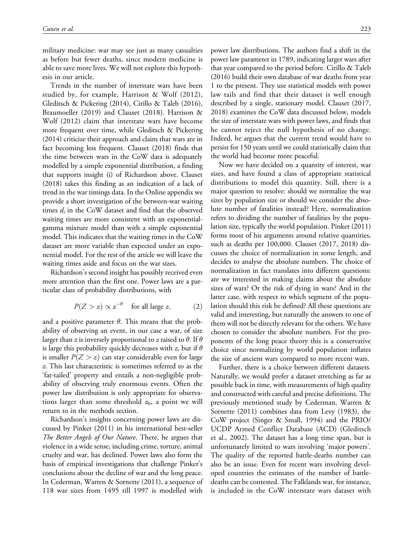military medicine: war may see just as many casualties as before but fewer deaths, since modern medicine is able to save more lives. We will not explore this hypothesis in our article.

Trends in the number of interstate wars have been studied by, for example, Harrison & Wolf (2012), Gleditsch & Pickering (2014), Cirillo & Taleb (2016), Braumoeller (2019) and Clauset (2018). Harrison & Wolf (2012) claim that interstate wars have become more frequent over time, while Gleditsch & Pickering (2014) criticize their approach and claim that wars are in fact becoming less frequent. Clauset (2018) finds that the time between wars in the CoW data is adequately modelled by a simple exponential distribution, a finding that supports insight (i) of Richardson above. Clauset (2018) takes this finding as an indication of a lack of trend in the war timings data. In the Online appendix we provide a short investigation of the between-war waiting times  $d_i$  in the CoW dataset and find that the observed waiting times are more consistent with an exponentialgamma mixture model than with a simple exponential model. This indicates that the waiting times in the CoW dataset are more variable than expected under an exponential model. For the rest of the article we will leave the waiting times aside and focus on the war sizes.

Richardson's second insight has possibly received even more attention than the first one. Power laws are a particular class of probability distributions, with

$$
P(Z > z) \propto z^{-\theta} \quad \text{for all large } z,
$$
 (2)

and a positive parameter  $\theta.$  This means that the probability of observing an event, in our case a war, of size larger than  $z$  is inversely proportional to  $z$  raised to  $\theta.$  If  $\theta$ is large this probability quickly decreases with  $z$ , but if  $\theta$ is smaller  $P(Z > z)$  can stay considerable even for large z. This last characteristic is sometimes referred to as the 'fat-tailed' property and entails a non-negligible probability of observing truly enormous events. Often the power law distribution is only appropriate for observations larger than some threshold  $z_0$ , a point we will return to in the methods section.

Richardson's insights concerning power laws are discussed by Pinker (2011) in his international best-seller The Better Angels of Our Nature. There, he argues that violence in a wide sense, including crime, torture, animal cruelty and war, has declined. Power laws also form the basis of empirical investigations that challenge Pinker's conclusions about the decline of war and the long peace. In Cederman, Warren & Sornette (2011), a sequence of 118 war sizes from 1495 till 1997 is modelled with

power law distributions. The authors find a shift in the power law parameter in 1789, indicating larger wars after that year compared to the period before. Cirillo & Taleb (2016) build their own database of war deaths from year 1 to the present. They use statistical models with power law tails and find that their dataset is well enough described by a single, stationary model. Clauset (2017, 2018) examines the CoW data discussed below, models the size of interstate wars with power laws, and finds that he cannot reject the null hypothesis of no change. Indeed, he argues that the current trend would have to persist for 150 years until we could statistically claim that the world had become more peaceful.

Now we have decided on a quantity of interest, war sizes, and have found a class of appropriate statistical distributions to model this quantity. Still, there is a major question to resolve: should we normalize the war sizes by population size or should we consider the absolute number of fatalities instead? Here, normalization refers to dividing the number of fatalities by the population size, typically the world population. Pinker (2011) forms most of his arguments around relative quantities, such as deaths per 100,000. Clauset (2017, 2018) discusses the choice of normalization in some length, and decides to analyse the absolute numbers. The choice of normalization in fact translates into different questions: are we interested in making claims about the absolute sizes of wars? Or the risk of dying in wars? And in the latter case, with respect to which segment of the population should this risk be defined? All these questions are valid and interesting, but naturally the answers to one of them will not be directly relevant for the others. We have chosen to consider the absolute numbers. For the proponents of the long peace theory this is a conservative choice since normalizing by world population inflates the size of ancient wars compared to more recent wars.

Further, there is a choice between different datasets. Naturally, we would prefer a dataset stretching as far as possible back in time, with measurements of high quality and constructed with careful and precise definitions. The previously mentioned study by Cederman, Warren & Sornette (2011) combines data from Levy (1983), the CoW project (Singer & Small, 1994) and the PRIO/ UCDP Armed Conflict Database (ACD) (Gleditsch et al., 2002). The dataset has a long time span, but is unfortunately limited to wars involving 'major powers'. The quality of the reported battle-deaths number can also be an issue. Even for recent wars involving developed countries the estimates of the number of battledeaths can be contested. The Falklands war, for instance, is included in the CoW interstate wars dataset with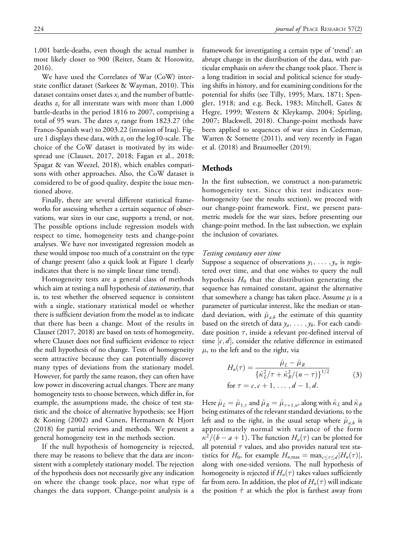1,001 battle-deaths, even though the actual number is most likely closer to 900 (Reiter, Stam & Horowitz, 2016).

We have used the Correlates of War (CoW) interstate conflict dataset (Sarkees & Wayman, 2010). This dataset contains onset dates  $x_i$  and the number of battledeaths  $z_i$  for all interstate wars with more than 1,000 battle-deaths in the period 1816 to 2007, comprising a total of 95 wars. The dates  $x_i$  range from 1823.27 (the Franco-Spanish war) to 2003.22 (invasion of Iraq). Figure 1 displays these data, with  $z_i$  on the log10-scale. The choice of the CoW dataset is motivated by its widespread use (Clauset, 2017, 2018; Fagan et al., 2018; Spagat & van Weezel, 2018), which enables comparisons with other approaches. Also, the CoW dataset is considered to be of good quality, despite the issue mentioned above.

Finally, there are several different statistical frameworks for assessing whether a certain sequence of observations, war sizes in our case, supports a trend, or not. The possible options include regression models with respect to time, homogeneity tests and change-point analyses. We have not investigated regression models as these would impose too much of a constraint on the type of change present (also a quick look at Figure 1 clearly indicates that there is no simple linear time trend).

Homogeneity tests are a general class of methods which aim at testing a null hypothesis of *stationarity*, that is, to test whether the observed sequence is consistent with a single, stationary statistical model or whether there is sufficient deviation from the model as to indicate that there has been a change. Most of the results in Clauset (2017, 2018) are based on tests of homogeneity, where Clauset does not find sufficient evidence to reject the null hypothesis of no change. Tests of homogeneity seem attractive because they can potentially discover many types of deviations from the stationary model. However, for partly the same reason, they can often have low power in discovering actual changes. There are many homogeneity tests to choose between, which differ in, for example, the assumptions made, the choice of test statistic and the choice of alternative hypothesis; see Hjort & Koning (2002) and Cunen, Hermansen & Hjort (2018) for partial reviews and methods. We present a general homogeneity test in the methods section.

If the null hypothesis of homogeneity is rejected, there may be reasons to believe that the data are inconsistent with a completely stationary model. The rejection of the hypothesis does not necessarily give any indication on where the change took place, nor what type of changes the data support. Change-point analysis is a

framework for investigating a certain type of 'trend': an abrupt change in the distribution of the data, with particular emphasis on where the change took place. There is a long tradition in social and political science for studying shifts in history, and for examining conditions for the potential for shifts (see Tilly, 1995; Marx, 1871; Spengler, 1918; and e.g. Beck, 1983; Mitchell, Gates & Hegre, 1999; Western & Kleykamp, 2004; Spirling, 2007; Blackwell, 2018). Change-point methods have been applied to sequences of war sizes in Cederman, Warren & Sornette (2011), and very recently in Fagan et al. (2018) and Braumoeller (2019).

## Methods

In the first subsection, we construct a non-parametric homogeneity test. Since this test indicates nonhomogeneity (see the results section), we proceed with our change-point framework. First, we present parametric models for the war sizes, before presenting our change-point method. In the last subsection, we explain the inclusion of covariates.

#### Testing constancy over time

Suppose a sequence of observations  $y_1, \ldots, y_n$  is registered over time, and that one wishes to query the null hypothesis  $H_0$  that the distribution generating the sequence has remained constant, against the alternative that somewhere a change has taken place. Assume  $\mu$  is a parameter of particular interest, like the median or standard deviation, with  $\hat{\mu}_{a,b}$  the estimate of this quantity based on the stretch of data  $y_a$ , ...,  $y_b$ . For each candidate position  $\tau$ , inside a relevant pre-defined interval of time  $[c, d]$ , consider the relative difference in estimated  $\mu$ , to the left and to the right, via

$$
H_n(\tau) = \frac{\hat{\mu}_L - \hat{\mu}_R}{\{\hat{\kappa}_L^2/\tau + \hat{\kappa}_R^2/(n-\tau)\}^{1/2}}
$$
(3)  
for  $\tau = c, c + 1, ..., d - 1, d$ .

Here  $\hat{\mu}_L = \hat{\mu}_{1,\tau}$  and  $\hat{\mu}_R = \hat{\mu}_{\tau+1,n}$ , along with  $\hat{\kappa}_L$  and  $\hat{\kappa}_R$ being estimates of the relevant standard deviations, to the left and to the right, in the usual setup where  $\hat{\mu}_{a,b}$  is approximately normal with variance of the form  $\kappa^2/(b-a+1)$ . The function  $H_n(\tau)$  can be plotted for all potential  $\tau$  values, and also provides natural test statistics for  $H_0$ , for example  $H_{n,\text{max}} = \max_{c \leq \tau \leq d} |H_n(\tau)|$ , along with one-sided versions. The null hypothesis of homogeneity is rejected if  $H_n(\tau)$  takes values sufficiently far from zero. In addition, the plot of  $H_n(\tau)$  will indicate the position  $\hat{\tau}$  at which the plot is farthest away from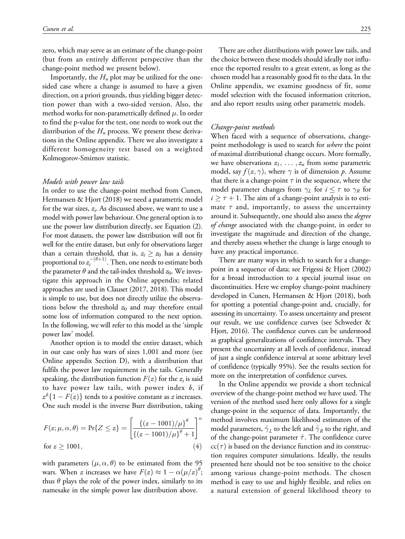zero, which may serve as an estimate of the change-point (but from an entirely different perspective than the change-point method we present below).

Importantly, the  $H_n$  plot may be utilized for the onesided case where a change is assumed to have a given direction, on a priori grounds, thus yielding bigger detection power than with a two-sided version. Also, the method works for non-parametrically defined  $\mu$ . In order to find the p-value for the test, one needs to work out the distribution of the  $H_n$  process. We present these derivations in the Online appendix. There we also investigate a different homogeneity test based on a weighted Kolmogorov-Smirnov statistic.

#### Models with power law tails

In order to use the change-point method from Cunen, Hermansen & Hjort (2018) we need a parametric model for the war sizes,  $z_i$ . As discussed above, we want to use a model with power law behaviour. One general option is to use the power law distribution directly, see Equation (2). For most datasets, the power law distribution will not fit well for the entire dataset, but only for observations larger than a certain threshold, that is,  $z_i \ge z_0$  has a density proportional to  $z_i^{-(\theta+1)}$ . Then, one needs to estimate both the parameter  $\theta$  and the tail-index threshold  $z_0$ . We investigate this approach in the Online appendix; related approaches are used in Clauset (2017, 2018). This model is simple to use, but does not directly utilize the observations below the threshold  $z_0$  and may therefore entail some loss of information compared to the next option. In the following, we will refer to this model as the 'simple power law' model.

Another option is to model the entire dataset, which in our case only has wars of sizes 1,001 and more (see Online appendix Section D), with a distribution that fulfils the power law requirement in the tails. Generally speaking, the distribution function  $F(z)$  for the  $z_i$  is said to have power law tails, with power index  $b$ , if  $z^{b}\{1-F(z)\}$  tends to a positive constant as  $z$  increases. One such model is the inverse Burr distribution, taking

$$
F(z; \mu, \alpha, \theta) = \Pr\{Z \le z\} = \left[\frac{\{(z - 1001)/\mu\}^{\theta}}{\{(z - 1001)/\mu\}^{\theta} + 1}\right]^{\alpha}
$$
  
for  $z \ge 1001$ , (4)

with parameters  $(\mu, \alpha, \theta)$  to be estimated from the 95 wars. When z increases we have  $F(z) \approx 1 - \alpha(\mu/z)^{\theta}$ ; thus  $\theta$  plays the role of the power index, similarly to its namesake in the simple power law distribution above.

There are other distributions with power law tails, and the choice between these models should ideally not influence the reported results to a great extent, as long as the chosen model has a reasonably good fit to the data. In the Online appendix, we examine goodness of fit, some model selection with the focused information criterion, and also report results using other parametric models.

## Change-point methods

When faced with a sequence of observations, changepoint methodology is used to search for where the point of maximal distributional change occurs. More formally, we have observations  $z_1, \ldots, z_n$  from some parametric model, say  $f(z, \gamma)$ , where  $\gamma$  is of dimension p. Assume that there is a change-point  $\tau$  in the sequence, where the model parameter changes from  $\gamma_L$  for  $i \leq \tau$  to  $\gamma_R$  for  $i \geq \tau + 1$ . The aim of a change-point analysis is to estimate  $\tau$  and, importantly, to assess the uncertainty around it. Subsequently, one should also assess the *degree* of change associated with the change-point, in order to investigate the magnitude and direction of the change, and thereby assess whether the change is large enough to have any practical importance.

There are many ways in which to search for a changepoint in a sequence of data; see Frigessi & Hjort (2002) for a broad introduction to a special journal issue on discontinuities. Here we employ change-point machinery developed in Cunen, Hermansen & Hjort (2018), both for spotting a potential change-point and, crucially, for assessing its uncertainty. To assess uncertainty and present our result, we use confidence curves (see Schweder & Hjort, 2016). The confidence curves can be understood as graphical generalizations of confidence intervals. They present the uncertainty at all levels of confidence, instead of just a single confidence interval at some arbitrary level of confidence (typically 95%). See the results section for more on the interpretation of confidence curves.

In the Online appendix we provide a short technical overview of the change-point method we have used. The version of the method used here only allows for a single change-point in the sequence of data. Importantly, the method involves maximum likelihood estimators of the model parameters,  $\hat{\gamma}_L$  to the left and  $\hat{\gamma}_R$  to the right, and of the change-point parameter  $\hat{\tau}$ . The confidence curve  $cc(\tau)$  is based on the deviance function and its construction requires computer simulations. Ideally, the results presented here should not be too sensitive to the choice among various change-point methods. The chosen method is easy to use and highly flexible, and relies on a natural extension of general likelihood theory to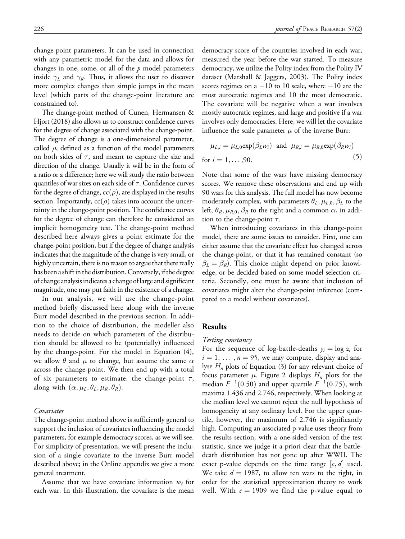change-point parameters. It can be used in connection with any parametric model for the data and allows for changes in one, some, or all of the  $p$  model parameters inside  $\gamma_L$  and  $\gamma_R$ . Thus, it allows the user to discover more complex changes than simple jumps in the mean level (which parts of the change-point literature are constrained to).

The change-point method of Cunen, Hermansen & Hjort (2018) also allows us to construct confidence curves for the degree of change associated with the change-point. The degree of change is a one-dimensional parameter, called  $\rho$ , defined as a function of the model parameters on both sides of  $\tau$ , and meant to capture the size and direction of the change. Usually it will be in the form of a ratio or a difference; here we will study the ratio between quantiles of war sizes on each side of  $\tau$ . Confidence curves for the degree of change,  $cc(\rho)$ , are displayed in the results section. Importantly,  $cc(\rho)$  takes into account the uncertainty in the change-point position. The confidence curves for the degree of change can therefore be considered an implicit homogeneity test. The change-point method described here always gives a point estimate for the change-point position, but if the degree of change analysis indicates that the magnitude of the change is very small, or highly uncertain, there is no reason to argue that there really has been a shift in the distribution. Conversely, if the degree of change analysis indicates a change of large and significant magnitude, one may put faith in the existence of a change.

In our analysis, we will use the change-point method briefly discussed here along with the inverse Burr model described in the previous section. In addition to the choice of distribution, the modeller also needs to decide on which parameters of the distribution should be allowed to be (potentially) influenced by the change-point. For the model in Equation (4), we allow  $\theta$  and  $\mu$  to change, but assume the same  $\alpha$ across the change-point. We then end up with a total of six parameters to estimate: the change-point  $\tau$ , along with  $(\alpha, \mu_L, \theta_L, \mu_R, \theta_R)$ .

## Covariates

The change-point method above is sufficiently general to support the inclusion of covariates influencing the model parameters, for example democracy scores, as we will see. For simplicity of presentation, we will present the inclusion of a single covariate to the inverse Burr model described above; in the Online appendix we give a more general treatment.

Assume that we have covariate information  $w_i$  for each war. In this illustration, the covariate is the mean

democracy score of the countries involved in each war, measured the year before the war started. To measure democracy, we utilize the Polity index from the Polity IV dataset (Marshall & Jaggers, 2003). The Polity index scores regimes on a  $-10$  to 10 scale, where  $-10$  are the most autocratic regimes and 10 the most democratic. The covariate will be negative when a war involves mostly autocratic regimes, and large and positive if a war involves only democracies. Here, we will let the covariate influence the scale parameter  $\mu$  of the inverse Burr:

$$
\mu_{L,i} = \mu_{L,0} \exp(\beta_L w_i) \text{ and } \mu_{R,i} = \mu_{R,0} \exp(\beta_R w_i)
$$
  
for  $i = 1, ..., 90$ . (5)

Note that some of the wars have missing democracy scores. We remove these observations and end up with 90 wars for this analysis. The full model has now become moderately complex, with parameters  $\theta_L, \mu_{L,0}, \beta_L$  to the left,  $\theta_R$ ,  $\mu_{R,0}$ ,  $\beta_R$  to the right and a common  $\alpha$ , in addition to the change-point  $\tau$ .

When introducing covariates in this change-point model, there are some issues to consider. First, one can either assume that the covariate effect has changed across the change-point, or that it has remained constant (so  $\beta_L = \beta_R$ ). This choice might depend on prior knowledge, or be decided based on some model selection criteria. Secondly, one must be aware that inclusion of covariates might alter the change-point inference (compared to a model without covariates).

#### Results

#### Testing constancy

For the sequence of log-battle-deaths  $y_i = \log z_i$  for  $i = 1, \ldots, n = 95$ , we may compute, display and analyse  $H_n$  plots of Equation (3) for any relevant choice of focus parameter  $\mu$ . Figure 2 displays  $H_n$  plots for the median  $F^{-1}(0.50)$  and upper quartile  $F^{-1}(0.75)$ , with maxima 1.436 and 2.746, respectively. When looking at the median level we cannot reject the null hypothesis of homogeneity at any ordinary level. For the upper quartile, however, the maximum of 2.746 is significantly high. Computing an associated p-value uses theory from the results section, with a one-sided version of the test statistic, since we judge it a priori clear that the battledeath distribution has not gone up after WWII. The exact p-value depends on the time range  $[c, d]$  used. We take  $d = 1987$ , to allow ten wars to the right, in order for the statistical approximation theory to work well. With  $c = 1909$  we find the p-value equal to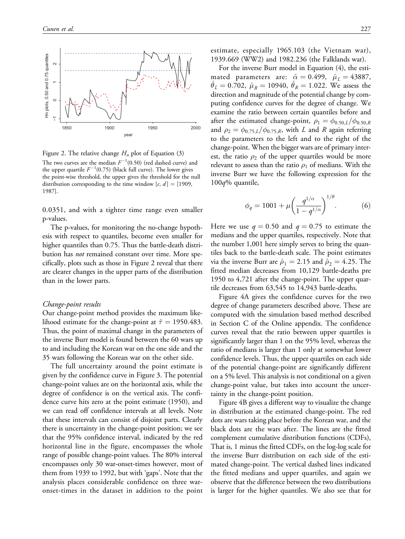

Figure 2. The relative change  $H_n$  plot of Equation (3) The two curves are the median  $F^{-1}(0.50)$  (red dashed curve) and the upper quartile  $F^{-1}(0.75)$  (black full curve). The lower gives the point-wise threshold, the upper gives the threshold for the null distribution corresponding to the time window  $[c, d] = [1909,$ 1987].

0.0351, and with a tighter time range even smaller p-values.

The p-values, for monitoring the no-change hypothesis with respect to quantiles, become even smaller for higher quantiles than 0.75. Thus the battle-death distribution has *not* remained constant over time. More specifically, plots such as those in Figure 2 reveal that there are clearer changes in the upper parts of the distribution than in the lower parts.

#### Change-point results

Our change-point method provides the maximum likelihood estimate for the change-point at  $\hat{\tau} = 1950.483$ . Thus, the point of maximal change in the parameters of the inverse Burr model is found between the 60 wars up to and including the Korean war on the one side and the 35 wars following the Korean war on the other side.

The full uncertainty around the point estimate is given by the confidence curve in Figure 3. The potential change-point values are on the horizontal axis, while the degree of confidence is on the vertical axis. The confidence curve hits zero at the point estimate (1950), and we can read off confidence intervals at all levels. Note that these intervals can consist of disjoint parts. Clearly there is uncertainty in the change-point position; we see that the 95% confidence interval, indicated by the red horizontal line in the figure, encompasses the whole range of possible change-point values. The 80% interval encompasses only 30 war-onset-times however, most of them from 1939 to 1992, but with 'gaps'. Note that the analysis places considerable confidence on three waronset-times in the dataset in addition to the point

estimate, especially 1965:103 (the Vietnam war), 1939:669 (WW2) and 1982:236 (the Falklands war).

For the inverse Burr model in Equation (4), the estimated parameters are:  $\hat{\alpha} = 0.499$ ,  $\hat{\mu}_L = 43887$ ,  $\hat{\theta}_L = 0.702$ ,  $\hat{\mu}_R = 10940$ ,  $\hat{\theta}_R = 1.022$ . We assess the direction and magnitude of the potential change by computing confidence curves for the degree of change. We examine the ratio between certain quantiles before and after the estimated change-point,  $\rho_1 = \phi_{0.50,L}/\phi_{0.50,R}$ and  $\rho_2 = \phi_{0.75,L}/\phi_{0.75,R}$ , with L and R again referring to the parameters to the left and to the right of the change-point. When the bigger wars are of primary interest, the ratio  $\rho_2$  of the upper quartiles would be more relevant to assess than the ratio  $\rho_1$  of medians. With the inverse Burr we have the following expression for the  $100q\%$  quantile,

$$
\phi_q = 1001 + \mu \left( \frac{q^{1/\alpha}}{1 - q^{1/\alpha}} \right)^{1/\theta}.
$$
 (6)

Here we use  $q = 0.50$  and  $q = 0.75$  to estimate the medians and the upper quartiles, respectively. Note that the number 1,001 here simply serves to bring the quantiles back to the battle-death scale. The point estimates via the inverse Burr are  $\hat{\rho}_1 = 2.15$  and  $\hat{\rho}_2 = 4.25$ . The fitted median decreases from 10,129 battle-deaths pre 1950 to 4,721 after the change-point. The upper quartile decreases from 63,545 to 14,943 battle-deaths.

Figure 4A gives the confidence curves for the two degree of change parameters described above. These are computed with the simulation based method described in Section C of the Online appendix. The confidence curves reveal that the ratio between upper quartiles is significantly larger than 1 on the 95% level, whereas the ratio of medians is larger than 1 only at somewhat lower confidence levels. Thus, the upper quartiles on each side of the potential change-point are significantly different on a 5% level. This analysis is not conditional on a given change-point value, but takes into account the uncertainty in the change-point position.

Figure 4B gives a different way to visualize the change in distribution at the estimated change-point. The red dots are wars taking place before the Korean war, and the black dots are the wars after. The lines are the fitted complement cumulative distribution functions (CDFs), That is, 1 minus the fitted CDFs, on the log-log scale for the inverse Burr distribution on each side of the estimated change-point. The vertical dashed lines indicated the fitted medians and upper quartiles, and again we observe that the difference between the two distributions is larger for the higher quantiles. We also see that for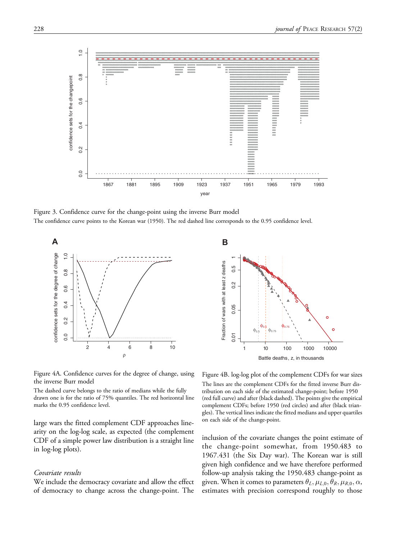

Figure 3. Confidence curve for the change-point using the inverse Burr model The confidence curve points to the Korean war (1950). The red dashed line corresponds to the 0.95 confidence level.



**B** 0.01 0.05 0.2 0.5 1 Fraction of wars with at least z deaths Fraction of wars with at least z deaths  $0.5$  $0.2$ 0.05  $\Omega$ φ0.5 φ0.75  $φ_{0.5}$   $φ_{0.75}$ Ċ  $0.01$ 1 10 100 1000 10000 Battle deaths, z, in thousands

Figure 4A. Confidence curves for the degree of change, using the inverse Burr model

The dashed curve belongs to the ratio of medians while the fully drawn one is for the ratio of 75% quantiles. The red horizontal line marks the 0.95 confidence level.

large wars the fitted complement CDF approaches linearity on the log-log scale, as expected (the complement CDF of a simple power law distribution is a straight line in log-log plots).

## Covariate results

We include the democracy covariate and allow the effect of democracy to change across the change-point. The

Figure 4B. log-log plot of the complement CDFs for war sizes The lines are the complement CDFs for the fitted inverse Burr distribution on each side of the estimated change-point; before 1950 (red full curve) and after (black dashed). The points give the empirical complement CDFs; before 1950 (red circles) and after (black triangles). The vertical lines indicate the fitted medians and upper quartiles on each side of the change-point.

inclusion of the covariate changes the point estimate of the change-point somewhat, from 1950:483 to 1967:431 (the Six Day war). The Korean war is still given high confidence and we have therefore performed follow-up analysis taking the 1950.483 change-point as given. When it comes to parameters  $\theta_L, \mu_{L,0}, \theta_R, \mu_{R,0}, \alpha$ , estimates with precision correspond roughly to those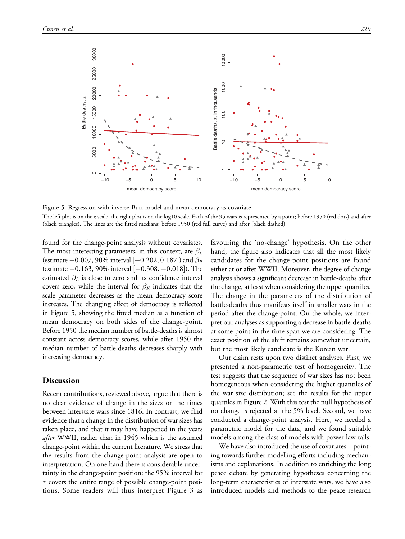

Figure 5. Regression with inverse Burr model and mean democracy as covariate The left plot is on the z scale, the right plot is on the log10 scale. Each of the 95 wars is represented by a point; before 1950 (red dots) and after (black triangles). The lines are the fitted medians; before 1950 (red full curve) and after (black dashed).

found for the change-point analysis without covariates. The most interesting parameters, in this context, are  $\beta_L$ (estimate  $-0.007$ , 90% interval  $[-0.202, 0.187]$ ) and  $\beta_R$ (estimate  $-0.163$ , 90% interval  $[-0.308, -0.018]$ ). The estimated  $\beta_L$  is close to zero and its confidence interval covers zero, while the interval for  $\beta_R$  indicates that the scale parameter decreases as the mean democracy score increases. The changing effect of democracy is reflected in Figure 5, showing the fitted median as a function of mean democracy on both sides of the change-point. Before 1950 the median number of battle-deaths is almost constant across democracy scores, while after 1950 the median number of battle-deaths decreases sharply with increasing democracy.

## Discussion

Recent contributions, reviewed above, argue that there is no clear evidence of change in the sizes or the times between interstate wars since 1816. In contrast, we find evidence that a change in the distribution of war sizes has taken place, and that it may have happened in the years after WWII, rather than in 1945 which is the assumed change-point within the current literature. We stress that the results from the change-point analysis are open to interpretation. On one hand there is considerable uncertainty in the change-point position: the 95% interval for  $\tau$  covers the entire range of possible change-point positions. Some readers will thus interpret Figure 3 as

favouring the 'no-change' hypothesis. On the other hand, the figure also indicates that all the most likely candidates for the change-point positions are found either at or after WWII. Moreover, the degree of change analysis shows a significant decrease in battle-deaths after the change, at least when considering the upper quartiles. The change in the parameters of the distribution of battle-deaths thus manifests itself in smaller wars in the period after the change-point. On the whole, we interpret our analyses as supporting a decrease in battle-deaths at some point in the time span we are considering. The exact position of the shift remains somewhat uncertain, but the most likely candidate is the Korean war.

Our claim rests upon two distinct analyses. First, we presented a non-parametric test of homogeneity. The test suggests that the sequence of war sizes has not been homogeneous when considering the higher quantiles of the war size distribution; see the results for the upper quartiles in Figure 2. With this test the null hypothesis of no change is rejected at the 5% level. Second, we have conducted a change-point analysis. Here, we needed a parametric model for the data, and we found suitable models among the class of models with power law tails.

We have also introduced the use of covariates – pointing towards further modelling efforts including mechanisms and explanations. In addition to enriching the long peace debate by generating hypotheses concerning the long-term characteristics of interstate wars, we have also introduced models and methods to the peace research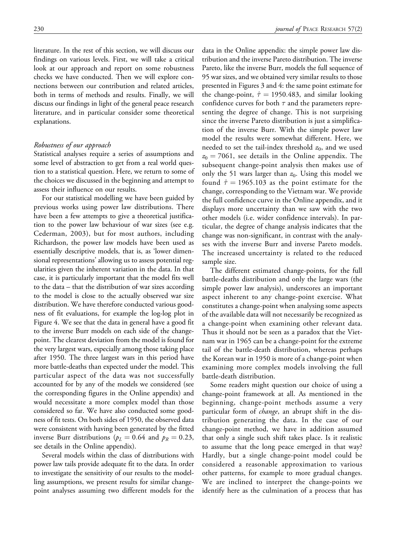literature. In the rest of this section, we will discuss our findings on various levels. First, we will take a critical look at our approach and report on some robustness checks we have conducted. Then we will explore connections between our contribution and related articles, both in terms of methods and results. Finally, we will discuss our findings in light of the general peace research literature, and in particular consider some theoretical explanations.

#### Robustness of our approach

Statistical analyses require a series of assumptions and some level of abstraction to get from a real world question to a statistical question. Here, we return to some of the choices we discussed in the beginning and attempt to assess their influence on our results.

For our statistical modelling we have been guided by previous works using power law distributions. There have been a few attempts to give a theoretical justification to the power law behaviour of war sizes (see e.g. Cederman, 2003), but for most authors, including Richardson, the power law models have been used as essentially descriptive models, that is, as 'lower dimensional representations' allowing us to assess potential regularities given the inherent variation in the data. In that case, it is particularly important that the model fits well to the data – that the distribution of war sizes according to the model is close to the actually observed war size distribution. We have therefore conducted various goodness of fit evaluations, for example the log-log plot in Figure 4. We see that the data in general have a good fit to the inverse Burr models on each side of the changepoint. The clearest deviation from the model is found for the very largest wars, especially among those taking place after 1950. The three largest wars in this period have more battle-deaths than expected under the model. This particular aspect of the data was not successfully accounted for by any of the models we considered (see the corresponding figures in the Online appendix) and would necessitate a more complex model than those considered so far. We have also conducted some goodness of fit tests. On both sides of 1950, the observed data were consistent with having been generated by the fitted inverse Burr distributions ( $p_L = 0.64$  and  $p_R = 0.23$ , see details in the Online appendix).

Several models within the class of distributions with power law tails provide adequate fit to the data. In order to investigate the sensitivity of our results to the modelling assumptions, we present results for similar changepoint analyses assuming two different models for the data in the Online appendix: the simple power law distribution and the inverse Pareto distribution. The inverse Pareto, like the inverse Burr, models the full sequence of 95 war sizes, and we obtained very similar results to those presented in Figures 3 and 4: the same point estimate for the change-point,  $\hat{\tau} = 1950.483$ , and similar looking confidence curves for both  $\tau$  and the parameters representing the degree of change. This is not surprising since the inverse Pareto distribution is just a simplification of the inverse Burr. With the simple power law model the results were somewhat different. Here, we needed to set the tail-index threshold  $z_0$ , and we used  $z_0$  = 7061, see details in the Online appendix. The subsequent change-point analysis then makes use of only the 51 wars larger than  $z_0$ . Using this model we found  $\hat{\tau} = 1965.103$  as the point estimate for the change, corresponding to the Vietnam war. We provide the full confidence curve in the Online appendix, and it displays more uncertainty than we saw with the two other models (i.e. wider confidence intervals). In particular, the degree of change analysis indicates that the change was non-significant, in contrast with the analyses with the inverse Burr and inverse Pareto models. The increased uncertainty is related to the reduced sample size.

The different estimated change-points, for the full battle-deaths distribution and only the large wars (the simple power law analysis), underscores an important aspect inherent to any change-point exercise. What constitutes a change-point when analysing some aspects of the available data will not necessarily be recognized as a change-point when examining other relevant data. Thus it should not be seen as a paradox that the Vietnam war in 1965 can be a change-point for the extreme tail of the battle-death distribution, whereas perhaps the Korean war in 1950 is more of a change-point when examining more complex models involving the full battle-death distribution.

Some readers might question our choice of using a change-point framework at all. As mentioned in the beginning, change-point methods assume a very particular form of *change*, an abrupt shift in the distribution generating the data. In the case of our change-point method, we have in addition assumed that only a single such shift takes place. Is it realistic to assume that the long peace emerged in that way? Hardly, but a single change-point model could be considered a reasonable approximation to various other patterns, for example to more gradual changes. We are inclined to interpret the change-points we identify here as the culmination of a process that has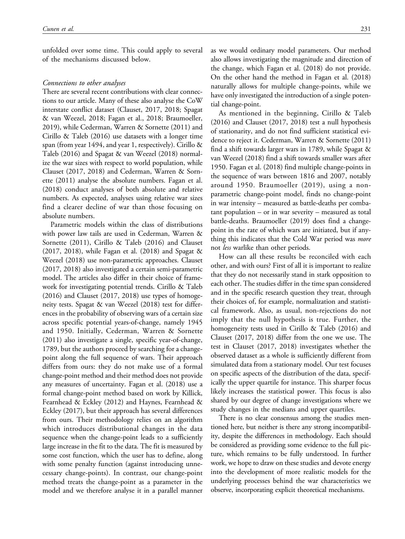unfolded over some time. This could apply to several of the mechanisms discussed below.

## Connections to other analyses

There are several recent contributions with clear connections to our article. Many of these also analyse the CoW interstate conflict dataset (Clauset, 2017, 2018; Spagat & van Weezel, 2018; Fagan et al., 2018; Braumoeller, 2019), while Cederman, Warren & Sornette (2011) and Cirillo & Taleb (2016) use datasets with a longer time span (from year 1494, and year 1, respectively). Cirillo & Taleb (2016) and Spagat & van Weezel (2018) normalize the war sizes with respect to world population, while Clauset (2017, 2018) and Cederman, Warren & Sornette (2011) analyse the absolute numbers. Fagan et al. (2018) conduct analyses of both absolute and relative numbers. As expected, analyses using relative war sizes find a clearer decline of war than those focusing on absolute numbers.

Parametric models within the class of distributions with power law tails are used in Cederman, Warren & Sornette (2011), Cirillo & Taleb (2016) and Clauset (2017, 2018), while Fagan et al. (2018) and Spagat & Weezel (2018) use non-parametric approaches. Clauset (2017, 2018) also investigated a certain semi-parametric model. The articles also differ in their choice of framework for investigating potential trends. Cirillo & Taleb (2016) and Clauset (2017, 2018) use types of homogeneity tests. Spagat & van Weezel (2018) test for differences in the probability of observing wars of a certain size across specific potential years-of-change, namely 1945 and 1950. Initially, Cederman, Warren & Sornette (2011) also investigate a single, specific year-of-change, 1789, but the authors proceed by searching for a changepoint along the full sequence of wars. Their approach differs from ours: they do not make use of a formal change-point method and their method does not provide any measures of uncertainty. Fagan et al. (2018) use a formal change-point method based on work by Killick, Fearnhead & Eckley (2012) and Haynes, Fearnhead & Eckley (2017), but their approach has several differences from ours. Their methodology relies on an algorithm which introduces distributional changes in the data sequence when the change-point leads to a sufficiently large increase in the fit to the data. The fit is measured by some cost function, which the user has to define, along with some penalty function (against introducing unnecessary change-points). In contrast, our change-point method treats the change-point as a parameter in the model and we therefore analyse it in a parallel manner

as we would ordinary model parameters. Our method also allows investigating the magnitude and direction of the change, which Fagan et al. (2018) do not provide. On the other hand the method in Fagan et al. (2018) naturally allows for multiple change-points, while we have only investigated the introduction of a single potential change-point.

As mentioned in the beginning, Cirillo & Taleb (2016) and Clauset (2017, 2018) test a null hypothesis of stationarity, and do not find sufficient statistical evidence to reject it. Cederman, Warren & Sornette (2011) find a shift towards larger wars in 1789, while Spagat & van Weezel (2018) find a shift towards smaller wars after 1950. Fagan et al. (2018) find multiple change-points in the sequence of wars between 1816 and 2007, notably around 1950. Braumoeller (2019), using a nonparametric change-point model, finds no change-point in war intensity – measured as battle-deaths per combatant population – or in war severity – measured as total battle-deaths. Braumoeller (2019) does find a changepoint in the rate of which wars are initiated, but if anything this indicates that the Cold War period was *more* not less warlike than other periods.

How can all these results be reconciled with each other, and with ours? First of all it is important to realize that they do not necessarily stand in stark opposition to each other. The studies differ in the time span considered and in the specific research question they treat, through their choices of, for example, normalization and statistical framework. Also, as usual, non-rejections do not imply that the null hypothesis is true. Further, the homogeneity tests used in Cirillo & Taleb (2016) and Clauset (2017, 2018) differ from the one we use. The test in Clauset (2017, 2018) investigates whether the observed dataset as a whole is sufficiently different from simulated data from a stationary model. Our test focuses on specific aspects of the distribution of the data, specifically the upper quartile for instance. This sharper focus likely increases the statistical power. This focus is also shared by our degree of change investigations where we study changes in the medians and upper quartiles.

There is no clear consensus among the studies mentioned here, but neither is there any strong incompatibility, despite the differences in methodology. Each should be considered as providing some evidence to the full picture, which remains to be fully understood. In further work, we hope to draw on these studies and devote energy into the development of more realistic models for the underlying processes behind the war characteristics we observe, incorporating explicit theoretical mechanisms.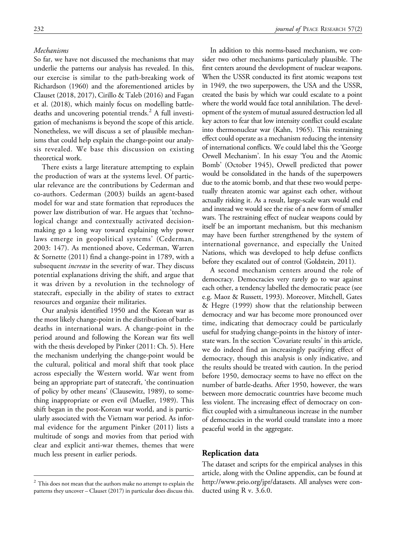# Mechanisms

So far, we have not discussed the mechanisms that may underlie the patterns our analysis has revealed. In this, our exercise is similar to the path-breaking work of Richardson (1960) and the aforementioned articles by Clauset (2018, 2017), Cirillo & Taleb (2016) and Fagan et al. (2018), which mainly focus on modelling battledeaths and uncovering potential trends.<sup>2</sup> A full investigation of mechanisms is beyond the scope of this article. Nonetheless, we will discuss a set of plausible mechanisms that could help explain the change-point our analysis revealed. We base this discussion on existing theoretical work.

There exists a large literature attempting to explain the production of wars at the systems level. Of particular relevance are the contributions by Cederman and co-authors. Cederman (2003) builds an agent-based model for war and state formation that reproduces the power law distribution of war. He argues that 'technological change and contextually activated decisionmaking go a long way toward explaining why power laws emerge in geopolitical systems' (Cederman, 2003: 147). As mentioned above, Cederman, Warren & Sornette (2011) find a change-point in 1789, with a subsequent *increase* in the severity of war. They discuss potential explanations driving the shift, and argue that it was driven by a revolution in the technology of statecraft, especially in the ability of states to extract resources and organize their militaries.

Our analysis identified 1950 and the Korean war as the most likely change-point in the distribution of battledeaths in international wars. A change-point in the period around and following the Korean war fits well with the thesis developed by Pinker (2011: Ch. 5). Here the mechanism underlying the change-point would be the cultural, political and moral shift that took place across especially the Western world. War went from being an appropriate part of statecraft, 'the continuation of policy by other means' (Clausewitz, 1989), to something inappropriate or even evil (Mueller, 1989). This shift began in the post-Korean war world, and is particularly associated with the Vietnam war period. As informal evidence for the argument Pinker (2011) lists a multitude of songs and movies from that period with clear and explicit anti-war themes, themes that were much less present in earlier periods.

In addition to this norms-based mechanism, we consider two other mechanisms particularly plausible. The first centers around the development of nuclear weapons. When the USSR conducted its first atomic weapons test in 1949, the two superpowers, the USA and the USSR, created the basis by which war could escalate to a point where the world would face total annihilation. The development of the system of mutual assured destruction led all key actors to fear that low intensity conflict could escalate into thermonuclear war (Kahn, 1965). This restraining effect could operate as a mechanism reducing the intensity of international conflicts. We could label this the 'George Orwell Mechanism'. In his essay 'You and the Atomic Bomb' (October 1945), Orwell predicted that power would be consolidated in the hands of the superpowers due to the atomic bomb, and that these two would perpetually threaten atomic war against each other, without actually risking it. As a result, large-scale wars would end and instead we would see the rise of a new form of smaller wars. The restraining effect of nuclear weapons could by itself be an important mechanism, but this mechanism may have been further strengthened by the system of international governance, and especially the United Nations, which was developed to help defuse conflicts before they escalated out of control (Goldstein, 2011).

A second mechanism centers around the role of democracy. Democracies very rarely go to war against each other, a tendency labelled the democratic peace (see e.g. Maoz & Russett, 1993). Moreover, Mitchell, Gates & Hegre (1999) show that the relationship between democracy and war has become more pronounced over time, indicating that democracy could be particularly useful for studying change-points in the history of interstate wars. In the section 'Covariate results' in this article, we do indeed find an increasingly pacifying effect of democracy, though this analysis is only indicative, and the results should be treated with caution. In the period before 1950, democracy seems to have no effect on the number of battle-deaths. After 1950, however, the wars between more democratic countries have become much less violent. The increasing effect of democracy on conflict coupled with a simultaneous increase in the number of democracies in the world could translate into a more peaceful world in the aggregate.

# Replication data

The dataset and scripts for the empirical analyses in this article, along with the Online appendix, can be found at <http://www.prio.org/jpr/datasets>. All analyses were conducted using R v. 3.6.0.

 $2$  This does not mean that the authors make no attempt to explain the patterns they uncover – Clauset (2017) in particular does discuss this.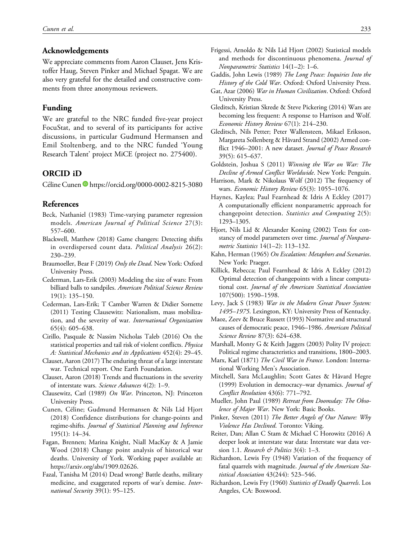## Acknowledgements

We appreciate comments from Aaron Clauset, Jens Kristoffer Haug, Steven Pinker and Michael Spagat. We are also very grateful for the detailed and constructive comments from three anonymous reviewers.

# Funding

We are grateful to the NRC funded five-year project FocuStat, and to several of its participants for active discussions, in particular Gudmund Hermansen and Emil Stoltenberg, and to the NRC funded 'Young Research Talent' project MiCE (project no. 275400).

# ORCID iD

Céline Cunen <sup>to</sup> <https://orcid.org/0000-0002-8215-3080>

## References

- Beck, Nathaniel (1983) Time-varying parameter regression models. American Journal of Political Science 27(3): 557–600.
- Blackwell, Matthew (2018) Game changers: Detecting shifts in overdispersed count data. Political Analysis 26(2): 230–239.
- Braumoeller, Bear F (2019) Only the Dead. New York: Oxford University Press.
- Cederman, Lars-Erik (2003) Modeling the size of wars: From billiard balls to sandpiles. American Political Science Review 19(1): 135–150.
- Cederman, Lars-Erik; T Camber Warren & Didier Sornette (2011) Testing Clausewitz: Nationalism, mass mobilization, and the severity of war. International Organization 65(4): 605–638.
- Cirillo, Pasquale & Nassim Nicholas Taleb (2016) On the statistical properties and tail risk of violent conflicts. Physica A: Statistical Mechanics and its Applications 452(4): 29–45.
- Clauset, Aaron (2017) The enduring threat of a large interstate war. Technical report. One Earth Foundation.
- Clauset, Aaron (2018) Trends and fluctuations in the severity of interstate wars. Science Advances 4(2): 1–9.
- Clausewitz, Carl (1989) On War. Princeton, NJ: Princeton University Press.
- Cunen, Céline; Gudmund Hermansen & Nils Lid Hjort (2018) Confidence distributions for change-points and regime-shifts. Journal of Statistical Planning and Inference 195(1): 14–34.
- Fagan, Brennen; Marina Knight, Niall MacKay & A Jamie Wood (2018) Change point analysis of historical war deaths. University of York. Working paper available at: <https://arxiv.org/abs/1909.02626>.
- Fazal, Tanisha M (2014) Dead wrong? Battle deaths, military medicine, and exaggerated reports of war's demise. International Security 39(1): 95–125.
- Frigessi, Arnoldo & Nils Lid Hjort (2002) Statistical models and methods for discontinuous phenomena. *Journal of* Nonparametric Statistics 14(1–2): 1–6.
- Gaddis, John Lewis (1989) The Long Peace: Inquiries Into the History of the Cold War. Oxford: Oxford University Press.
- Gat, Azar (2006) War in Human Civilization. Oxford: Oxford University Press.
- Gleditsch, Kristian Skrede & Steve Pickering (2014) Wars are becoming less frequent: A response to Harrison and Wolf. Economic History Review 67(1): 214–230.
- Gleditsch, Nils Petter; Peter Wallensteen, Mikael Eriksson, Margareta Sollenberg & Håvard Strand (2002) Armed conflict 1946-2001: A new dataset. Journal of Peace Research 39(5): 615–637.
- Goldstein, Joshua S (2011) Winning the War on War: The Decline of Armed Conflict Worldwide. New York: Penguin.
- Harrison, Mark & Nikolaus Wolf (2012) The frequency of wars. Economic History Review 65(3): 1055–1076.
- Haynes, Kaylea; Paul Fearnhead & Idris A Eckley (2017) A computationally efficient nonparametric approach for changepoint detection. Statistics and Computing 2(5): 1293–1305.
- Hjort, Nils Lid & Alexander Koning (2002) Tests for constancy of model parameters over time. *Journal of Nonpara*metric Statistics 14(1–2): 113–132.
- Kahn, Herman (1965) On Escalation: Metaphors and Scenarios. New York: Praeger.
- Killick, Rebecca; Paul Fearnhead & Idris A Eckley (2012) Optimal detection of changepoints with a linear computational cost. Journal of the American Statistical Association 107(500): 1590–1598.
- Levy, Jack S (1983) War in the Modern Great Power System: 1495–1975. Lexington, KY: University Press of Kentucky.
- Maoz, Zeev & Bruce Russett (1993) Normative and structural causes of democratic peace, 1946–1986. American Political Science Review 87(3): 624–638.
- Marshall, Monty G & Keith Jaggers (2003) Polity IV project: Political regime characteristics and transitions, 1800–2003.
- Marx, Karl (1871) The Civil War in France. London: International Working Men's Association.
- Mitchell, Sara McLaughlin; Scott Gates & Håvard Hegre (1999) Evolution in democracy–war dynamics. Journal of Conflict Resolution 43(6): 771–792.
- Mueller, John Paul (1989) Retreat from Doomsday: The Obsolence of Major War. New York: Basic Books.
- Pinker, Steven (2011) The Better Angels of Our Nature: Why Violence Has Declined. Toronto: Viking.
- Reiter, Dan; Allan C Stam & Michael C Horowitz (2016) A deeper look at interstate war data: Interstate war data version 1.1. Research & Politics  $3(4)$ : 1-3.
- Richardson, Lewis Fry (1948) Variation of the frequency of fatal quarrels with magnitude. Journal of the American Statistical Association 43(244): 523–546.
- Richardson, Lewis Fry (1960) Statistics of Deadly Quarrels. Los Angeles, CA: Boxwood.